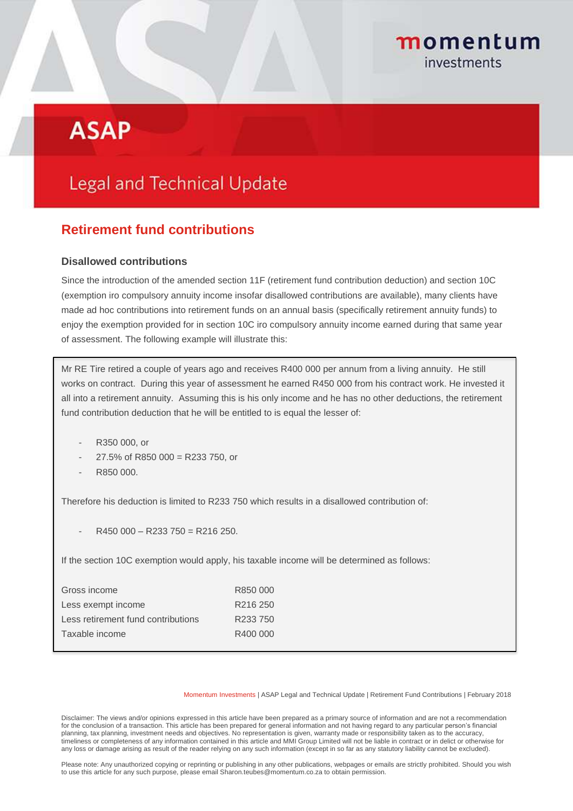# momentum investments

# **ASAP**

# **Legal and Technical Update**

# **Retirement fund contributions**

## **Disallowed contributions**

Since the introduction of the amended section 11F (retirement fund contribution deduction) and section 10C (exemption iro compulsory annuity income insofar disallowed contributions are available), many clients have made ad hoc contributions into retirement funds on an annual basis (specifically retirement annuity funds) to enjoy the exemption provided for in section 10C iro compulsory annuity income earned during that same year of assessment. The following example will illustrate this:

Mr RE Tire retired a couple of years ago and receives R400 000 per annum from a living annuity. He still works on contract. During this year of assessment he earned R450 000 from his contract work. He invested it all into a retirement annuity. Assuming this is his only income and he has no other deductions, the retirement fund contribution deduction that he will be entitled to is equal the lesser of:

- R350 000, or
- $27.5\%$  of R850 000 = R233 750, or
- R850 000.

Therefore his deduction is limited to R233 750 which results in a disallowed contribution of:

 $R450000 - R233750 = R216250$ .

If the section 10C exemption would apply, his taxable income will be determined as follows:

| Gross income                       | R850 000             |
|------------------------------------|----------------------|
| Less exempt income                 | R <sub>216</sub> 250 |
| Less retirement fund contributions | R233 750             |
| Taxable income                     | R400 000             |
|                                    |                      |

Momentum Investments | ASAP Legal and Technical Update | Retirement Fund Contributions | February 2018

Disclaimer: The views and/or opinions expressed in this article have been prepared as a primary source of information and are not a recommendation for the conclusion of a transaction. This article has been prepared for general information and not having regard to any particular person's financial planning, tax planning, investment needs and objectives. No representation is given, warranty made or responsibility taken as to the accuracy, timeliness or completeness of any information contained in this article and MMI Group Limited will not be liable in contract or in delict or otherwise for any loss or damage arising as result of the reader relying on any such information (except in so far as any statutory liability cannot be excluded).

Please note: Any unauthorized copying or reprinting or publishing in any other publications, webpages or emails are strictly prohibited. Should you wish to use this article for any such purpose, please email Sharon.teubes@momentum.co.za to obtain permission.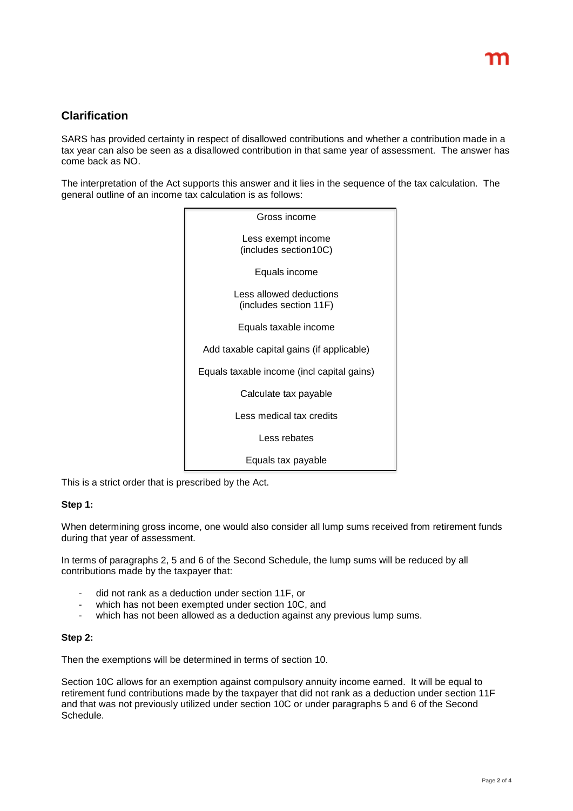# **Clarification**

SARS has provided certainty in respect of disallowed contributions and whether a contribution made in a tax year can also be seen as a disallowed contribution in that same year of assessment. The answer has come back as NO.

The interpretation of the Act supports this answer and it lies in the sequence of the tax calculation. The general outline of an income tax calculation is as follows:

| Gross income                                      |
|---------------------------------------------------|
| Less exempt income<br>(includes section10C)       |
| Equals income                                     |
| Less allowed deductions<br>(includes section 11F) |
| Equals taxable income                             |
| Add taxable capital gains (if applicable)         |
| Equals taxable income (incl capital gains)        |
| Calculate tax payable                             |
| Less medical tax credits                          |
| Less rebates                                      |
| Equals tax payable                                |

This is a strict order that is prescribed by the Act.

### **Step 1:**

When determining gross income, one would also consider all lump sums received from retirement funds during that year of assessment.

In terms of paragraphs 2, 5 and 6 of the Second Schedule, the lump sums will be reduced by all contributions made by the taxpayer that:

- did not rank as a deduction under section 11F, or
- which has not been exempted under section 10C, and
- which has not been allowed as a deduction against any previous lump sums.

#### **Step 2:**

Then the exemptions will be determined in terms of section 10.

Section 10C allows for an exemption against compulsory annuity income earned. It will be equal to retirement fund contributions made by the taxpayer that did not rank as a deduction under section 11F and that was not previously utilized under section 10C or under paragraphs 5 and 6 of the Second Schedule.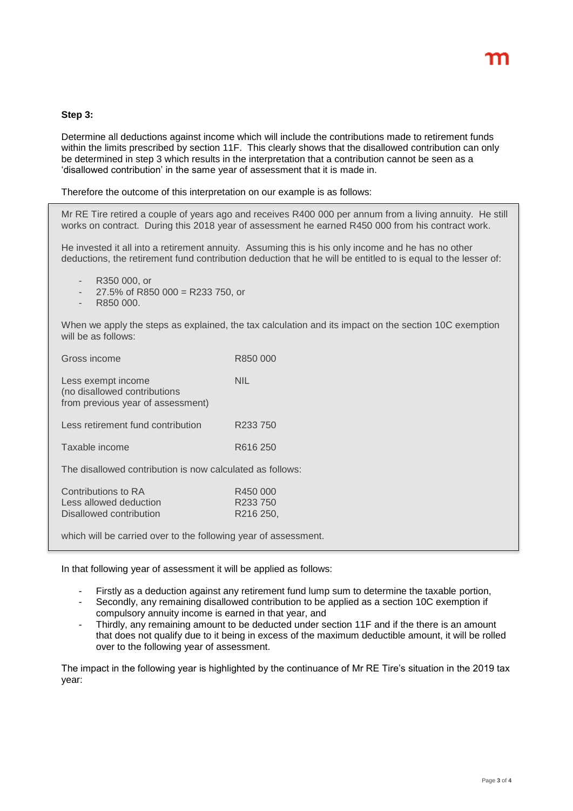### **Step 3:**

Determine all deductions against income which will include the contributions made to retirement funds within the limits prescribed by section 11F. This clearly shows that the disallowed contribution can only be determined in step 3 which results in the interpretation that a contribution cannot be seen as a 'disallowed contribution' in the same year of assessment that it is made in.

Therefore the outcome of this interpretation on our example is as follows:

Mr RE Tire retired a couple of years ago and receives R400 000 per annum from a living annuity. He still works on contract. During this 2018 year of assessment he earned R450 000 from his contract work.

He invested it all into a retirement annuity. Assuming this is his only income and he has no other deductions, the retirement fund contribution deduction that he will be entitled to is equal to the lesser of:

- R350 000, or
- $27.5\%$  of R850 000 = R233 750, or
- R850 000.

When we apply the steps as explained, the tax calculation and its impact on the section 10C exemption will be as follows:

| Gross income                                                                            | R850 000                          |  |
|-----------------------------------------------------------------------------------------|-----------------------------------|--|
| Less exempt income<br>(no disallowed contributions<br>from previous year of assessment) | NIL                               |  |
| Less retirement fund contribution                                                       | R <sub>233</sub> 750              |  |
| Taxable income                                                                          | R616 250                          |  |
| The disallowed contribution is now calculated as follows:                               |                                   |  |
| Contributions to RA<br>Less allowed deduction<br>Disallowed contribution                | R450 000<br>R233 750<br>R216 250, |  |

which will be carried over to the following year of assessment.

In that following year of assessment it will be applied as follows:

- Firstly as a deduction against any retirement fund lump sum to determine the taxable portion,
- Secondly, any remaining disallowed contribution to be applied as a section 10C exemption if compulsory annuity income is earned in that year, and
- Thirdly, any remaining amount to be deducted under section 11F and if the there is an amount that does not qualify due to it being in excess of the maximum deductible amount, it will be rolled over to the following year of assessment.

The impact in the following year is highlighted by the continuance of Mr RE Tire's situation in the 2019 tax year: